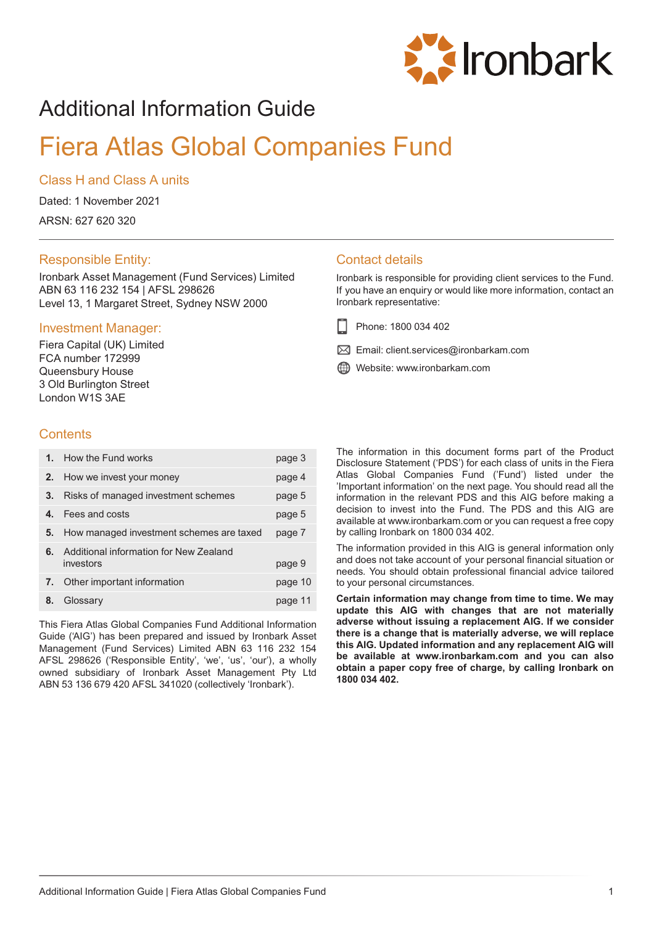

# Additional Information Guide

# Fiera Atlas Global Companies Fund

### Class H and Class A units

Dated: 1 November 2021

ARSN: 627 620 320

## Responsible Entity:

Ironbark Asset Management (Fund Services) Limited ABN 63 116 232 154 | AFSL 298626 Level 13, 1 Margaret Street, Sydney NSW 2000

### Investment Manager:

Fiera Capital (UK) Limited FCA number 172999 Queensbury House 3 Old Burlington Street London W1S 3AE

## **Contents**

|    | 1. How the Fund works                               | page 3  |
|----|-----------------------------------------------------|---------|
| 2. | How we invest your money                            | page 4  |
| 3. | Risks of managed investment schemes                 | page 5  |
|    | Fees and costs                                      | page 5  |
| 5. | How managed investment schemes are taxed            | page 7  |
| 6. | Additional information for New Zealand<br>investors | page 9  |
|    | 7. Other important information                      | page 10 |
| 8. | Glossary                                            | page 11 |

This Fiera Atlas Global Companies Fund Additional Information Guide ('AIG') has been prepared and issued by Ironbark Asset Management (Fund Services) Limited ABN 63 116 232 154 AFSL 298626 ('Responsible Entity', 'we', 'us', 'our'), a wholly owned subsidiary of Ironbark Asset Management Pty Ltd ABN 53 136 679 420 AFSL 341020 (collectively 'Ironbark').

## Contact details

Ironbark is responsible for providing client services to the Fund. If you have an enquiry or would like more information, contact an Ironbark representative:

- Phone: 1800 034 402
- $\boxtimes$  Email: client.services@ironbarkam.com
- Website: www.ironbarkam.com

The information in this document forms part of the Product Disclosure Statement ('PDS') for each class of units in the Fiera Atlas Global Companies Fund ('Fund') listed under the 'Important information' on the next page. You should read all the information in the relevant PDS and this AIG before making a decision to invest into the Fund. The PDS and this AIG are available at www.ironbarkam.com or you can request a free copy by calling Ironbark on 1800 034 402.

The information provided in this AIG is general information only and does not take account of your personal financial situation or needs. You should obtain professional financial advice tailored to your personal circumstances.

**Certain information may change from time to time. We may update this AIG with changes that are not materially adverse without issuing a replacement AIG. If we consider there is a change that is materially adverse, we will replace this AIG. Updated information and any replacement AIG will be available at www.ironbarkam.com and you can also obtain a paper copy free of charge, by calling Ironbark on 1800 034 402.**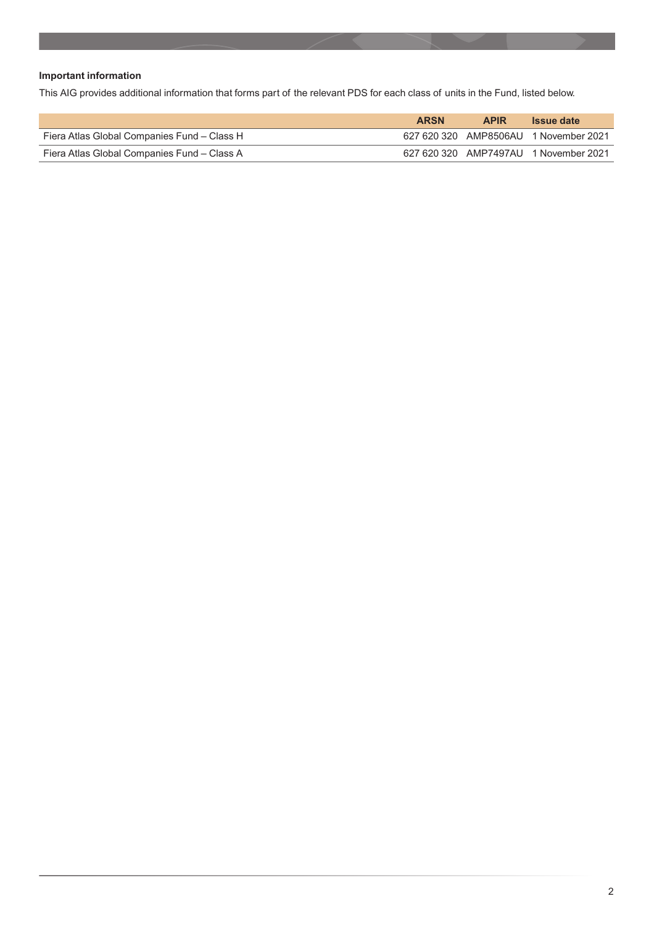### **Important information**

This AIG provides additional information that forms part of the relevant PDS for each class of units in the Fund, listed below.

|                                             | <b>ARSN</b> | <b>APIR</b> | <b>Issue date</b>                     |
|---------------------------------------------|-------------|-------------|---------------------------------------|
| Fiera Atlas Global Companies Fund - Class H |             |             | 627 620 320 AMP8506AU 1 November 2021 |
| Fiera Atlas Global Companies Fund - Class A |             |             | 627 620 320 AMP7497AU 1 November 2021 |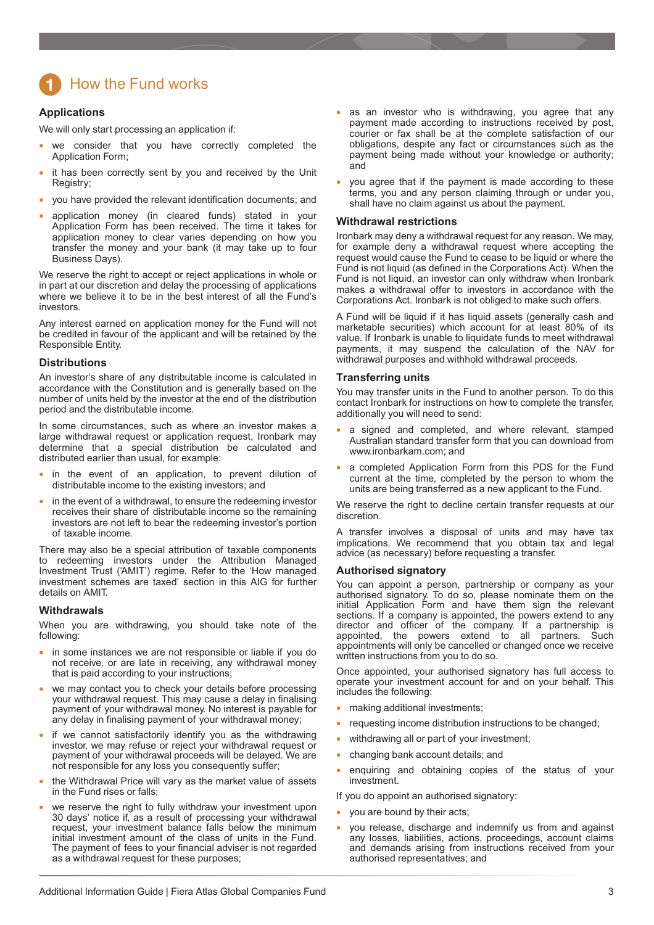## <span id="page-2-0"></span>How the Fund works

#### **Applications**

We will only start processing an application if:

- we consider that you have correctly completed the Application Form;
- it has been correctly sent by you and received by the Unit Registry;
- you have provided the relevant identification documents; and
- application money (in cleared funds) stated in your Application Form has been received. The time it takes for application money to clear varies depending on how you transfer the money and your bank (it may take up to four Business Days).

We reserve the right to accept or reject applications in whole or in part at our discretion and delay the processing of applications where we believe it to be in the best interest of all the Fund's investors.

Any interest earned on application money for the Fund will not be credited in favour of the applicant and will be retained by the Responsible Entity.

#### **Distributions**

An investor's share of any distributable income is calculated in accordance with the Constitution and is generally based on the number of units held by the investor at the end of the distribution period and the distributable income.

In some circumstances, such as where an investor makes a large withdrawal request or application request, Ironbark may determine that a special distribution be calculated and distributed earlier than usual, for example:

- in the event of an application, to prevent dilution of distributable income to the existing investors; and
- in the event of a withdrawal, to ensure the redeeming investor receives their share of distributable income so the remaining investors are not left to bear the redeeming investor's portion of taxable income.

There may also be a special attribution of taxable components to redeeming investors under the Attribution Managed Investment Trust ('AMIT') regime. Refer to the 'How managed investment schemes are taxed' section in this AIG for further details on AMIT.

#### **Withdrawals**

When you are withdrawing, you should take note of the following:

- in some instances we are not responsible or liable if you do not receive, or are late in receiving, any withdrawal money that is paid according to your instructions;
- we may contact you to check your details before processing your withdrawal request. This may cause a delay in finalising payment of your withdrawal money. No interest is payable for any delay in finalising payment of your withdrawal money;
- if we cannot satisfactorily identify you as the withdrawing investor, we may refuse or reject your withdrawal request or payment of your withdrawal proceeds will be delayed. We are not responsible for any loss you consequently suffer;
- the Withdrawal Price will vary as the market value of assets in the Fund rises or falls;
- we reserve the right to fully withdraw your investment upon 30 days' notice if, as a result of processing your withdrawal request, your investment balance falls below the minimum initial investment amount of the class of units in the Fund. The payment of fees to your financial adviser is not regarded as a withdrawal request for these purposes;
- as an investor who is withdrawing, you agree that any payment made according to instructions received by post, courier or fax shall be at the complete satisfaction of our obligations, despite any fact or circumstances such as the payment being made without your knowledge or authority; and
- you agree that if the payment is made according to these terms, you and any person claiming through or under you, shall have no claim against us about the payment.

#### **Withdrawal restrictions**

Ironbark may deny a withdrawal request for any reason. We may, for example deny a withdrawal request where accepting the request would cause the Fund to cease to be liquid or where the Fund is not liquid (as defined in the Corporations Act). When the Fund is not liquid, an investor can only withdraw when Ironbark makes a withdrawal offer to investors in accordance with the Corporations Act. Ironbark is not obliged to make such offers.

A Fund will be liquid if it has liquid assets (generally cash and marketable securities) which account for at least 80% of its value. If Ironbark is unable to liquidate funds to meet withdrawal payments, it may suspend the calculation of the NAV for withdrawal purposes and withhold withdrawal proceeds.

#### **Transferring units**

You may transfer units in the Fund to another person. To do this contact Ironbark for instructions on how to complete the transfer, additionally you will need to send:

- a signed and completed, and where relevant, stamped Australian standard transfer form that you can download from www.ironbarkam.com; and
- a completed Application Form from this PDS for the Fund current at the time, completed by the person to whom the units are being transferred as a new applicant to the Fund.

We reserve the right to decline certain transfer requests at our discretion.

A transfer involves a disposal of units and may have tax implications. We recommend that you obtain tax and legal advice (as necessary) before requesting a transfer.

#### **Authorised signatory**

You can appoint a person, partnership or company as your authorised signatory. To do so, please nominate them on the initial Application Form and have them sign the relevant sections. If a company is appointed, the powers extend to any director and officer of the company. If a partnership is appointed, the powers extend to all partners. Such appointments will only be cancelled or changed once we receive written instructions from you to do so.

Once appointed, your authorised signatory has full access to operate your investment account for and on your behalf. This includes the following:

- making additional investments;
- requesting income distribution instructions to be changed;
- withdrawing all or part of your investment;
- changing bank account details; and
- enquiring and obtaining copies of the status of your investment.

If you do appoint an authorised signatory:

- you are bound by their acts;
- you release, discharge and indemnify us from and against any losses, liabilities, actions, proceedings, account claims and demands arising from instructions received from your authorised representatives; and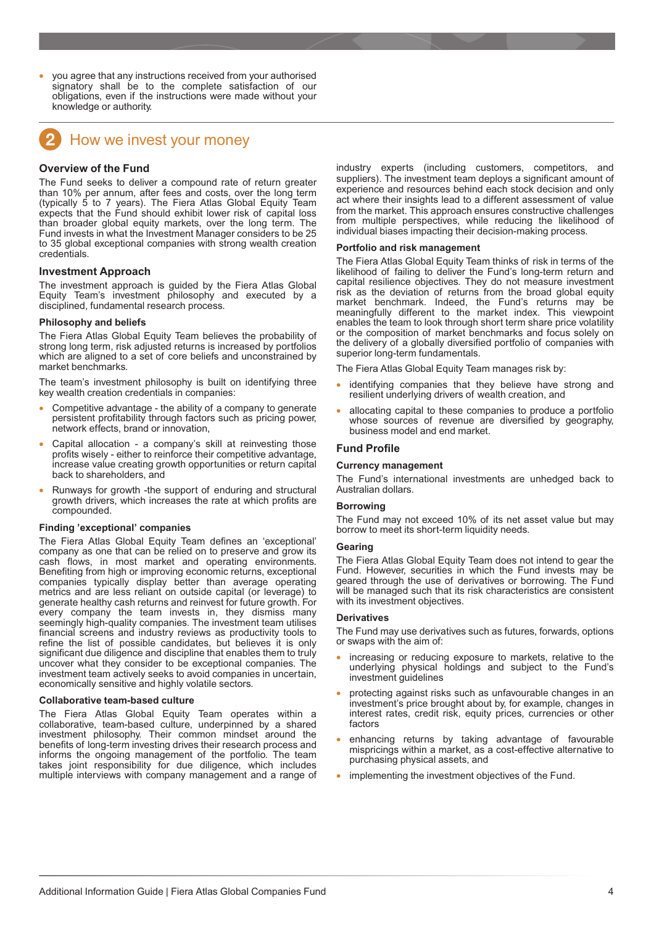<span id="page-3-0"></span>• you agree that any instructions received from your authorised signatory shall be to the complete satisfaction of our obligations, even if the instructions were made without your knowledge or authority.



## How we invest your money

#### **Overview of the Fund**

The Fund seeks to deliver a compound rate of return greater than 10% per annum, after fees and costs, over the long term (typically 5 to 7 years). The Fiera Atlas Global Equity Team expects that the Fund should exhibit lower risk of capital loss than broader global equity markets, over the long term. The Fund invests in what the Investment Manager considers to be 25 to 35 global exceptional companies with strong wealth creation credentials.

#### **Investment Approach**

The investment approach is guided by the Fiera Atlas Global Equity Team's investment philosophy and executed by a disciplined, fundamental research process.

#### **Philosophy and beliefs**

The Fiera Atlas Global Equity Team believes the probability of strong long term, risk adjusted returns is increased by portfolios which are aligned to a set of core beliefs and unconstrained by market benchmarks.

The team's investment philosophy is built on identifying three key wealth creation credentials in companies:

- Competitive advantage the ability of a company to generate persistent profitability through factors such as pricing power, network effects, brand or innovation,
- Capital allocation a company's skill at reinvesting those profits wisely - either to reinforce their competitive advantage, increase value creating growth opportunities or return capital back to shareholders, and
- Runways for growth -the support of enduring and structural growth drivers, which increases the rate at which profits are compounded.

#### **Finding 'exceptional' companies**

The Fiera Atlas Global Equity Team defines an 'exceptional' company as one that can be relied on to preserve and grow its cash flows, in most market and operating environments. Benefiting from high or improving economic returns, exceptional companies typically display better than average operating metrics and are less reliant on outside capital (or leverage) to generate healthy cash returns and reinvest for future growth. For every company the team invests in, they dismiss many seemingly high-quality companies. The investment team utilises financial screens and industry reviews as productivity tools to refine the list of possible candidates, but believes it is only significant due diligence and discipline that enables them to truly uncover what they consider to be exceptional companies. The investment team actively seeks to avoid companies in uncertain, economically sensitive and highly volatile sectors.

#### **Collaborative team-based culture**

The Fiera Atlas Global Equity Team operates within a collaborative, team-based culture, underpinned by a shared investment philosophy. Their common mindset around the benefits of long-term investing drives their research process and informs the ongoing management of the portfolio. The team takes joint responsibility for due diligence, which includes multiple interviews with company management and a range of

industry experts (including customers, competitors, and suppliers). The investment team deploys a significant amount of experience and resources behind each stock decision and only act where their insights lead to a different assessment of value from the market. This approach ensures constructive challenges from multiple perspectives, while reducing the likelihood of individual biases impacting their decision-making process.

#### **Portfolio and risk management**

The Fiera Atlas Global Equity Team thinks of risk in terms of the likelihood of failing to deliver the Fund's long-term return and capital resilience objectives. They do not measure investment risk as the deviation of returns from the broad global equity market benchmark. Indeed, the Fund's returns may be meaningfully different to the market index. This viewpoint enables the team to look through short term share price volatility or the composition of market benchmarks and focus solely on the delivery of a globally diversified portfolio of companies with superior long-term fundamentals.

The Fiera Atlas Global Equity Team manages risk by:

- identifying companies that they believe have strong and resilient underlying drivers of wealth creation, and
- allocating capital to these companies to produce a portfolio whose sources of revenue are diversified by geography, business model and end market.

#### **Fund Profile**

#### **Currency management**

The Fund's international investments are unhedged back to Australian dollars.

#### **Borrowing**

The Fund may not exceed 10% of its net asset value but may borrow to meet its short-term liquidity needs.

#### **Gearing**

The Fiera Atlas Global Equity Team does not intend to gear the Fund. However, securities in which the Fund invests may be geared through the use of derivatives or borrowing. The Fund will be managed such that its risk characteristics are consistent with its investment objectives.

#### **Derivatives**

The Fund may use derivatives such as futures, forwards, options or swaps with the aim of:

- increasing or reducing exposure to markets, relative to the underlying physical holdings and subject to the Fund's investment guidelines
- protecting against risks such as unfavourable changes in an investment's price brought about by, for example, changes in interest rates, credit risk, equity prices, currencies or other factors
- enhancing returns by taking advantage of favourable mispricings within a market, as a cost-effective alternative to purchasing physical assets, and
- implementing the investment objectives of the Fund.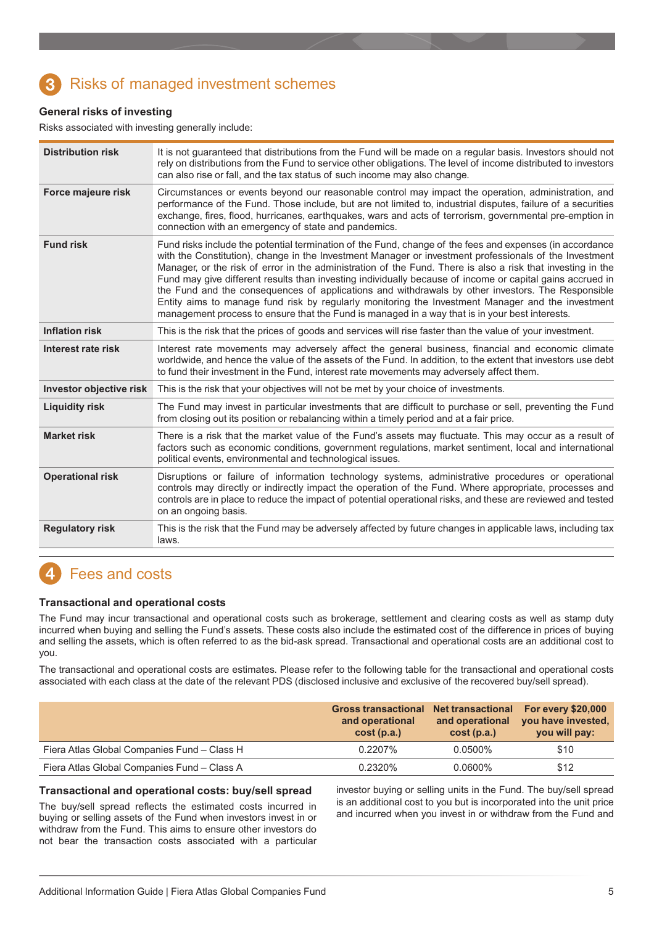## <span id="page-4-0"></span>Risks of managed investment schemes

### **General risks of investing**

Risks associated with investing generally include:

| <b>Distribution risk</b> | It is not guaranteed that distributions from the Fund will be made on a regular basis. Investors should not<br>rely on distributions from the Fund to service other obligations. The level of income distributed to investors<br>can also rise or fall, and the tax status of such income may also change.                                                                                                                                                                                                                                                                                                                                                                                                                                                 |
|--------------------------|------------------------------------------------------------------------------------------------------------------------------------------------------------------------------------------------------------------------------------------------------------------------------------------------------------------------------------------------------------------------------------------------------------------------------------------------------------------------------------------------------------------------------------------------------------------------------------------------------------------------------------------------------------------------------------------------------------------------------------------------------------|
| Force majeure risk       | Circumstances or events beyond our reasonable control may impact the operation, administration, and<br>performance of the Fund. Those include, but are not limited to, industrial disputes, failure of a securities<br>exchange, fires, flood, hurricanes, earthquakes, wars and acts of terrorism, governmental pre-emption in<br>connection with an emergency of state and pandemics.                                                                                                                                                                                                                                                                                                                                                                    |
| <b>Fund risk</b>         | Fund risks include the potential termination of the Fund, change of the fees and expenses (in accordance<br>with the Constitution), change in the Investment Manager or investment professionals of the Investment<br>Manager, or the risk of error in the administration of the Fund. There is also a risk that investing in the<br>Fund may give different results than investing individually because of income or capital gains accrued in<br>the Fund and the consequences of applications and withdrawals by other investors. The Responsible<br>Entity aims to manage fund risk by regularly monitoring the Investment Manager and the investment<br>management process to ensure that the Fund is managed in a way that is in your best interests. |
| <b>Inflation risk</b>    | This is the risk that the prices of goods and services will rise faster than the value of your investment.                                                                                                                                                                                                                                                                                                                                                                                                                                                                                                                                                                                                                                                 |
| Interest rate risk       | Interest rate movements may adversely affect the general business, financial and economic climate<br>worldwide, and hence the value of the assets of the Fund. In addition, to the extent that investors use debt<br>to fund their investment in the Fund, interest rate movements may adversely affect them.                                                                                                                                                                                                                                                                                                                                                                                                                                              |
| Investor objective risk  | This is the risk that your objectives will not be met by your choice of investments.                                                                                                                                                                                                                                                                                                                                                                                                                                                                                                                                                                                                                                                                       |
| <b>Liquidity risk</b>    | The Fund may invest in particular investments that are difficult to purchase or sell, preventing the Fund<br>from closing out its position or rebalancing within a timely period and at a fair price.                                                                                                                                                                                                                                                                                                                                                                                                                                                                                                                                                      |
| <b>Market risk</b>       | There is a risk that the market value of the Fund's assets may fluctuate. This may occur as a result of<br>factors such as economic conditions, government regulations, market sentiment, local and international<br>political events, environmental and technological issues.                                                                                                                                                                                                                                                                                                                                                                                                                                                                             |
| <b>Operational risk</b>  | Disruptions or failure of information technology systems, administrative procedures or operational<br>controls may directly or indirectly impact the operation of the Fund. Where appropriate, processes and<br>controls are in place to reduce the impact of potential operational risks, and these are reviewed and tested<br>on an ongoing basis.                                                                                                                                                                                                                                                                                                                                                                                                       |
| <b>Regulatory risk</b>   | This is the risk that the Fund may be adversely affected by future changes in applicable laws, including tax<br>laws.                                                                                                                                                                                                                                                                                                                                                                                                                                                                                                                                                                                                                                      |

## Fees and costs

#### **Transactional and operational costs**

The Fund may incur transactional and operational costs such as brokerage, settlement and clearing costs as well as stamp duty incurred when buying and selling the Fund's assets. These costs also include the estimated cost of the difference in prices of buying and selling the assets, which is often referred to as the bid-ask spread. Transactional and operational costs are an additional cost to you.

The transactional and operational costs are estimates. Please refer to the following table for the transactional and operational costs associated with each class at the date of the relevant PDS (disclosed inclusive and exclusive of the recovered buy/sell spread).

|                                             | Gross transactional Net transactional For every \$20,000<br>and operational<br>cost(p.a.) | and operational<br>cost(p.a.) | you have invested,<br>you will pay: |
|---------------------------------------------|-------------------------------------------------------------------------------------------|-------------------------------|-------------------------------------|
| Fiera Atlas Global Companies Fund - Class H | 0.2207%                                                                                   | $0.0500\%$                    | \$10                                |
| Fiera Atlas Global Companies Fund - Class A | 0.2320%                                                                                   | $0.0600\%$                    | \$12                                |

#### **Transactional and operational costs: buy/sell spread**

The buy/sell spread reflects the estimated costs incurred in buying or selling assets of the Fund when investors invest in or withdraw from the Fund. This aims to ensure other investors do not bear the transaction costs associated with a particular

investor buying or selling units in the Fund. The buy/sell spread is an additional cost to you but is incorporated into the unit price and incurred when you invest in or withdraw from the Fund and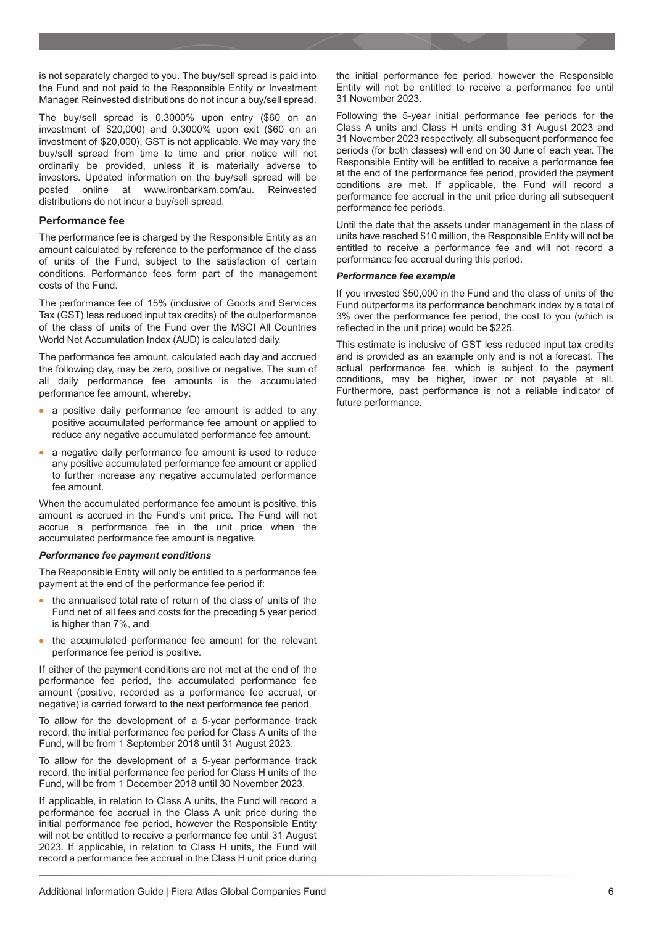is not separately charged to you. The buy/sell spread is paid into the Fund and not paid to the Responsible Entity or Investment Manager. Reinvested distributions do not incur a buy/sell spread.

The buy/sell spread is 0.3000% upon entry (\$60 on an investment of \$20,000) and 0.3000% upon exit (\$60 on an investment of \$20,000), GST is not applicable. We may vary the buy/sell spread from time to time and prior notice will not ordinarily be provided, unless it is materially adverse to investors. Updated information on the buy/sell spread will be posted online at www.ironbarkam.com/au. Reinvested distributions do not incur a buy/sell spread.

#### **Performance fee**

The performance fee is charged by the Responsible Entity as an amount calculated by reference to the performance of the class of units of the Fund, subject to the satisfaction of certain conditions. Performance fees form part of the management costs of the Fund.

The performance fee of 15% (inclusive of Goods and Services Tax (GST) less reduced input tax credits) of the outperformance of the class of units of the Fund over the MSCI All Countries World Net Accumulation Index (AUD) is calculated daily.

The performance fee amount, calculated each day and accrued the following day, may be zero, positive or negative. The sum of all daily performance fee amounts is the accumulated performance fee amount, whereby:

- a positive daily performance fee amount is added to any positive accumulated performance fee amount or applied to reduce any negative accumulated performance fee amount.
- a negative daily performance fee amount is used to reduce any positive accumulated performance fee amount or applied to further increase any negative accumulated performance fee amount.

When the accumulated performance fee amount is positive, this amount is accrued in the Fund's unit price. The Fund will not accrue a performance fee in the unit price when the accumulated performance fee amount is negative.

#### *Performance fee payment conditions*

The Responsible Entity will only be entitled to a performance fee payment at the end of the performance fee period if:

- the annualised total rate of return of the class of units of the Fund net of all fees and costs for the preceding 5 year period is higher than 7%, and
- the accumulated performance fee amount for the relevant performance fee period is positive.

If either of the payment conditions are not met at the end of the performance fee period, the accumulated performance fee amount (positive, recorded as a performance fee accrual, or negative) is carried forward to the next performance fee period.

To allow for the development of a 5-year performance track record, the initial performance fee period for Class A units of the Fund, will be from 1 September 2018 until 31 August 2023.

To allow for the development of a 5-year performance track record, the initial performance fee period for Class H units of the Fund, will be from 1 December 2018 until 30 November 2023.

If applicable, in relation to Class A units, the Fund will record a performance fee accrual in the Class A unit price during the initial performance fee period, however the Responsible Entity will not be entitled to receive a performance fee until 31 August 2023. If applicable, in relation to Class H units, the Fund will record a performance fee accrual in the Class H unit price during

the initial performance fee period, however the Responsible Entity will not be entitled to receive a performance fee until 31 November 2023.

Following the 5-year initial performance fee periods for the Class A units and Class H units ending 31 August 2023 and 31 November 2023 respectively, all subsequent performance fee periods (for both classes) will end on 30 June of each year. The Responsible Entity will be entitled to receive a performance fee at the end of the performance fee period, provided the payment conditions are met. If applicable, the Fund will record a performance fee accrual in the unit price during all subsequent performance fee periods.

Until the date that the assets under management in the class of units have reached \$10 million, the Responsible Entity will not be entitled to receive a performance fee and will not record a performance fee accrual during this period.

#### *Performance fee example*

If you invested \$50,000 in the Fund and the class of units of the Fund outperforms its performance benchmark index by a total of 3% over the performance fee period, the cost to you (which is reflected in the unit price) would be \$225.

This estimate is inclusive of GST less reduced input tax credits and is provided as an example only and is not a forecast. The actual performance fee, which is subject to the payment conditions, may be higher, lower or not payable at all. Furthermore, past performance is not a reliable indicator of future performance.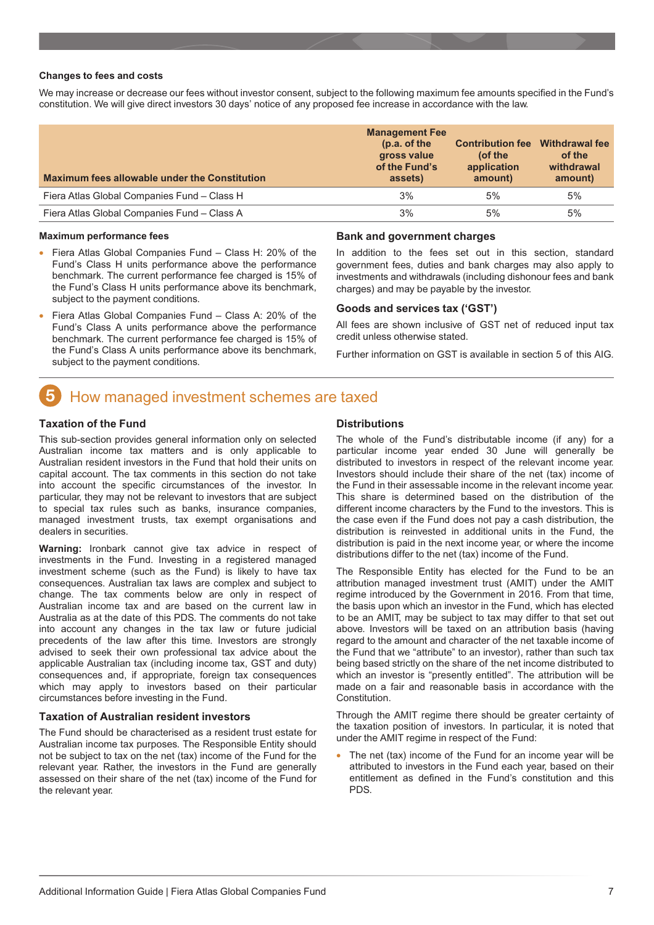#### <span id="page-6-0"></span>**Changes to fees and costs**

We may increase or decrease our fees without investor consent, subject to the following maximum fee amounts specified in the Fund's constitution. We will give direct investors 30 days' notice of any proposed fee increase in accordance with the law.

| <b>Maximum fees allowable under the Constitution</b> | <b>Management Fee</b><br>(p.a. of the<br>gross value<br>of the Fund's<br>assets) | <b>Contribution fee</b><br>(of the<br>application<br>amount) | <b>Withdrawal fee</b><br>of the<br>withdrawal<br>amount) |
|------------------------------------------------------|----------------------------------------------------------------------------------|--------------------------------------------------------------|----------------------------------------------------------|
| Fiera Atlas Global Companies Fund - Class H          | 3%                                                                               | 5%                                                           | 5%                                                       |
| Fiera Atlas Global Companies Fund - Class A          | 3%                                                                               | 5%                                                           | 5%                                                       |

#### **Maximum performance fees**

- Fiera Atlas Global Companies Fund Class H: 20% of the Fund's Class H units performance above the performance benchmark. The current performance fee charged is 15% of the Fund's Class H units performance above its benchmark, subject to the payment conditions.
- Fiera Atlas Global Companies Fund Class A: 20% of the Fund's Class A units performance above the performance benchmark. The current performance fee charged is 15% of the Fund's Class A units performance above its benchmark, subject to the payment conditions.

#### **Bank and government charges**

In addition to the fees set out in this section, standard government fees, duties and bank charges may also apply to investments and withdrawals (including dishonour fees and bank charges) and may be payable by the investor.

#### **Goods and services tax ('GST')**

All fees are shown inclusive of GST net of reduced input tax credit unless otherwise stated.

Further information on GST is available in section 5 of this AIG.

## How managed investment schemes are taxed

#### **Taxation of the Fund**

This sub-section provides general information only on selected Australian income tax matters and is only applicable to Australian resident investors in the Fund that hold their units on capital account. The tax comments in this section do not take into account the specific circumstances of the investor. In particular, they may not be relevant to investors that are subject to special tax rules such as banks, insurance companies, managed investment trusts, tax exempt organisations and dealers in securities.

**Warning:** Ironbark cannot give tax advice in respect of investments in the Fund. Investing in a registered managed investment scheme (such as the Fund) is likely to have tax consequences. Australian tax laws are complex and subject to change. The tax comments below are only in respect of Australian income tax and are based on the current law in Australia as at the date of this PDS. The comments do not take into account any changes in the tax law or future judicial precedents of the law after this time. Investors are strongly advised to seek their own professional tax advice about the applicable Australian tax (including income tax, GST and duty) consequences and, if appropriate, foreign tax consequences which may apply to investors based on their particular circumstances before investing in the Fund.

#### **Taxation of Australian resident investors**

The Fund should be characterised as a resident trust estate for Australian income tax purposes. The Responsible Entity should not be subject to tax on the net (tax) income of the Fund for the relevant year. Rather, the investors in the Fund are generally assessed on their share of the net (tax) income of the Fund for the relevant year.

#### **Distributions**

The whole of the Fund's distributable income (if any) for a particular income year ended 30 June will generally be distributed to investors in respect of the relevant income year. Investors should include their share of the net (tax) income of the Fund in their assessable income in the relevant income year. This share is determined based on the distribution of the different income characters by the Fund to the investors. This is the case even if the Fund does not pay a cash distribution, the distribution is reinvested in additional units in the Fund, the distribution is paid in the next income year, or where the income distributions differ to the net (tax) income of the Fund.

The Responsible Entity has elected for the Fund to be an attribution managed investment trust (AMIT) under the AMIT regime introduced by the Government in 2016. From that time, the basis upon which an investor in the Fund, which has elected to be an AMIT, may be subject to tax may differ to that set out above. Investors will be taxed on an attribution basis (having regard to the amount and character of the net taxable income of the Fund that we "attribute" to an investor), rather than such tax being based strictly on the share of the net income distributed to which an investor is "presently entitled". The attribution will be made on a fair and reasonable basis in accordance with the Constitution.

Through the AMIT regime there should be greater certainty of the taxation position of investors. In particular, it is noted that under the AMIT regime in respect of the Fund:

The net (tax) income of the Fund for an income year will be attributed to investors in the Fund each year, based on their entitlement as defined in the Fund's constitution and this PDS.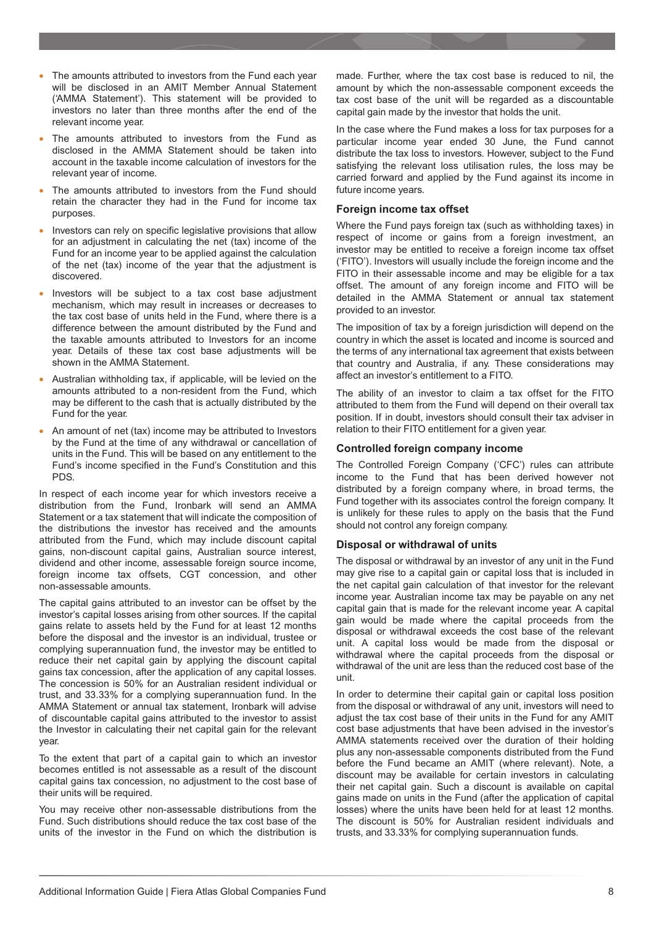- The amounts attributed to investors from the Fund each year will be disclosed in an AMIT Member Annual Statement ('AMMA Statement'). This statement will be provided to investors no later than three months after the end of the relevant income year.
- The amounts attributed to investors from the Fund as disclosed in the AMMA Statement should be taken into account in the taxable income calculation of investors for the relevant year of income.
- The amounts attributed to investors from the Fund should retain the character they had in the Fund for income tax purposes.
- Investors can rely on specific legislative provisions that allow for an adjustment in calculating the net (tax) income of the Fund for an income year to be applied against the calculation of the net (tax) income of the year that the adjustment is discovered.
- Investors will be subject to a tax cost base adjustment mechanism, which may result in increases or decreases to the tax cost base of units held in the Fund, where there is a difference between the amount distributed by the Fund and the taxable amounts attributed to Investors for an income year. Details of these tax cost base adjustments will be shown in the AMMA Statement.
- Australian withholding tax, if applicable, will be levied on the amounts attributed to a non-resident from the Fund, which may be different to the cash that is actually distributed by the Fund for the year.
- An amount of net (tax) income may be attributed to Investors by the Fund at the time of any withdrawal or cancellation of units in the Fund. This will be based on any entitlement to the Fund's income specified in the Fund's Constitution and this PDS.

In respect of each income year for which investors receive a distribution from the Fund, Ironbark will send an AMMA Statement or a tax statement that will indicate the composition of the distributions the investor has received and the amounts attributed from the Fund, which may include discount capital gains, non-discount capital gains, Australian source interest, dividend and other income, assessable foreign source income, foreign income tax offsets, CGT concession, and other non-assessable amounts.

The capital gains attributed to an investor can be offset by the investor's capital losses arising from other sources. If the capital gains relate to assets held by the Fund for at least 12 months before the disposal and the investor is an individual, trustee or complying superannuation fund, the investor may be entitled to reduce their net capital gain by applying the discount capital gains tax concession, after the application of any capital losses. The concession is 50% for an Australian resident individual or trust, and 33.33% for a complying superannuation fund. In the AMMA Statement or annual tax statement, Ironbark will advise of discountable capital gains attributed to the investor to assist the Investor in calculating their net capital gain for the relevant year.

To the extent that part of a capital gain to which an investor becomes entitled is not assessable as a result of the discount capital gains tax concession, no adjustment to the cost base of their units will be required.

You may receive other non-assessable distributions from the Fund. Such distributions should reduce the tax cost base of the units of the investor in the Fund on which the distribution is

made. Further, where the tax cost base is reduced to nil, the amount by which the non-assessable component exceeds the tax cost base of the unit will be regarded as a discountable capital gain made by the investor that holds the unit.

In the case where the Fund makes a loss for tax purposes for a particular income year ended 30 June, the Fund cannot distribute the tax loss to investors. However, subject to the Fund satisfying the relevant loss utilisation rules, the loss may be carried forward and applied by the Fund against its income in future income years.

#### **Foreign income tax offset**

Where the Fund pays foreign tax (such as withholding taxes) in respect of income or gains from a foreign investment, an investor may be entitled to receive a foreign income tax offset ('FITO'). Investors will usually include the foreign income and the FITO in their assessable income and may be eligible for a tax offset. The amount of any foreign income and FITO will be detailed in the AMMA Statement or annual tax statement provided to an investor.

The imposition of tax by a foreign jurisdiction will depend on the country in which the asset is located and income is sourced and the terms of any international tax agreement that exists between that country and Australia, if any. These considerations may affect an investor's entitlement to a FITO.

The ability of an investor to claim a tax offset for the FITO attributed to them from the Fund will depend on their overall tax position. If in doubt, investors should consult their tax adviser in relation to their FITO entitlement for a given year.

#### **Controlled foreign company income**

The Controlled Foreign Company ('CFC') rules can attribute income to the Fund that has been derived however not distributed by a foreign company where, in broad terms, the Fund together with its associates control the foreign company. It is unlikely for these rules to apply on the basis that the Fund should not control any foreign company.

#### **Disposal or withdrawal of units**

The disposal or withdrawal by an investor of any unit in the Fund may give rise to a capital gain or capital loss that is included in the net capital gain calculation of that investor for the relevant income year. Australian income tax may be payable on any net capital gain that is made for the relevant income year. A capital gain would be made where the capital proceeds from the disposal or withdrawal exceeds the cost base of the relevant unit. A capital loss would be made from the disposal or withdrawal where the capital proceeds from the disposal or withdrawal of the unit are less than the reduced cost base of the unit.

In order to determine their capital gain or capital loss position from the disposal or withdrawal of any unit, investors will need to adjust the tax cost base of their units in the Fund for any AMIT cost base adjustments that have been advised in the investor's AMMA statements received over the duration of their holding plus any non-assessable components distributed from the Fund before the Fund became an AMIT (where relevant). Note, a discount may be available for certain investors in calculating their net capital gain. Such a discount is available on capital gains made on units in the Fund (after the application of capital losses) where the units have been held for at least 12 months. The discount is 50% for Australian resident individuals and trusts, and 33.33% for complying superannuation funds.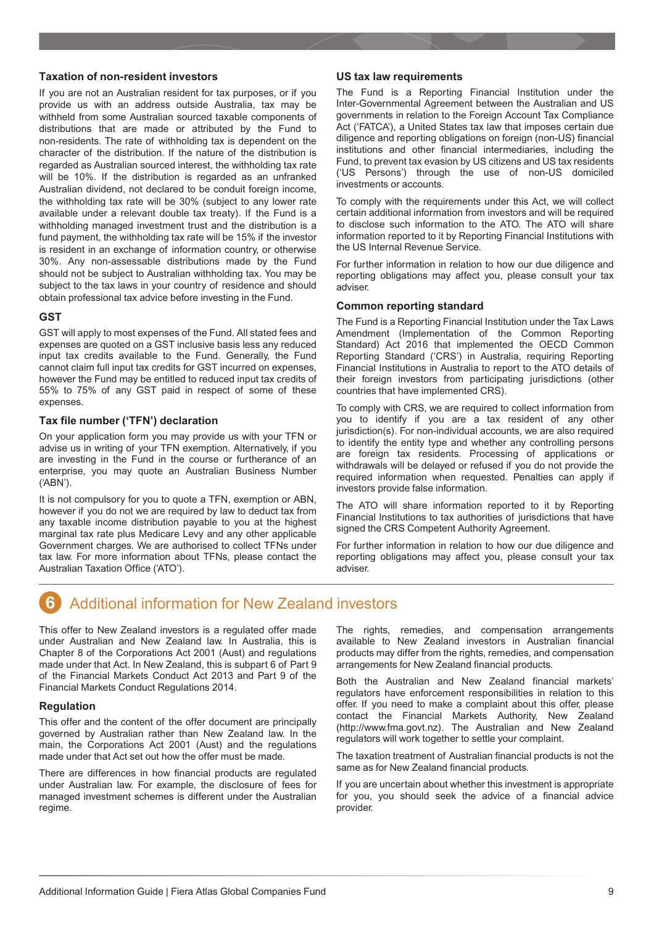#### <span id="page-8-0"></span>**Taxation of non-resident investors**

If you are not an Australian resident for tax purposes, or if you provide us with an address outside Australia, tax may be withheld from some Australian sourced taxable components of distributions that are made or attributed by the Fund to non-residents. The rate of withholding tax is dependent on the character of the distribution. If the nature of the distribution is regarded as Australian sourced interest, the withholding tax rate will be 10%. If the distribution is regarded as an unfranked Australian dividend, not declared to be conduit foreign income, the withholding tax rate will be 30% (subject to any lower rate available under a relevant double tax treaty). If the Fund is a withholding managed investment trust and the distribution is a fund payment, the withholding tax rate will be 15% if the investor is resident in an exchange of information country, or otherwise 30%. Any non-assessable distributions made by the Fund should not be subject to Australian withholding tax. You may be subject to the tax laws in your country of residence and should obtain professional tax advice before investing in the Fund.

#### **GST**

GST will apply to most expenses of the Fund. All stated fees and expenses are quoted on a GST inclusive basis less any reduced input tax credits available to the Fund. Generally, the Fund cannot claim full input tax credits for GST incurred on expenses, however the Fund may be entitled to reduced input tax credits of 55% to 75% of any GST paid in respect of some of these expenses.

#### **Tax file number ('TFN') declaration**

On your application form you may provide us with your TFN or advise us in writing of your TFN exemption. Alternatively, if you are investing in the Fund in the course or furtherance of an enterprise, you may quote an Australian Business Number ('ABN').

It is not compulsory for you to quote a TFN, exemption or ABN, however if you do not we are required by law to deduct tax from any taxable income distribution payable to you at the highest marginal tax rate plus Medicare Levy and any other applicable Government charges. We are authorised to collect TFNs under tax law. For more information about TFNs, please contact the Australian Taxation Office ('ATO').

#### **US tax law requirements**

The Fund is a Reporting Financial Institution under the Inter-Governmental Agreement between the Australian and US governments in relation to the Foreign Account Tax Compliance Act ('FATCA'), a United States tax law that imposes certain due diligence and reporting obligations on foreign (non-US) financial institutions and other financial intermediaries, including the Fund, to prevent tax evasion by US citizens and US tax residents ('US Persons') through the use of non-US domiciled investments or accounts.

To comply with the requirements under this Act, we will collect certain additional information from investors and will be required to disclose such information to the ATO. The ATO will share information reported to it by Reporting Financial Institutions with the US Internal Revenue Service.

For further information in relation to how our due diligence and reporting obligations may affect you, please consult your tax adviser.

#### **Common reporting standard**

The Fund is a Reporting Financial Institution under the Tax Laws Amendment (Implementation of the Common Reporting Standard) Act 2016 that implemented the OECD Common Reporting Standard ('CRS') in Australia, requiring Reporting Financial Institutions in Australia to report to the ATO details of their foreign investors from participating jurisdictions (other countries that have implemented CRS).

To comply with CRS, we are required to collect information from you to identify if you are a tax resident of any other jurisdiction(s). For non-individual accounts, we are also required to identify the entity type and whether any controlling persons are foreign tax residents. Processing of applications or withdrawals will be delayed or refused if you do not provide the required information when requested. Penalties can apply if investors provide false information.

The ATO will share information reported to it by Reporting Financial Institutions to tax authorities of jurisdictions that have signed the CRS Competent Authority Agreement.

For further information in relation to how our due diligence and reporting obligations may affect you, please consult your tax adviser.

#### 6 Additional information for New Zealand investors

This offer to New Zealand investors is a regulated offer made under Australian and New Zealand law. In Australia, this is Chapter 8 of the Corporations Act 2001 (Aust) and regulations made under that Act. In New Zealand, this is subpart 6 of Part 9 of the Financial Markets Conduct Act 2013 and Part 9 of the Financial Markets Conduct Regulations 2014.

#### **Regulation**

This offer and the content of the offer document are principally governed by Australian rather than New Zealand law. In the main, the Corporations Act 2001 (Aust) and the regulations made under that Act set out how the offer must be made.

There are differences in how financial products are regulated under Australian law. For example, the disclosure of fees for managed investment schemes is different under the Australian regime.

The rights, remedies, and compensation arrangements available to New Zealand investors in Australian financial products may differ from the rights, remedies, and compensation arrangements for New Zealand financial products.

Both the Australian and New Zealand financial markets' regulators have enforcement responsibilities in relation to this offer. If you need to make a complaint about this offer, please contact the Financial Markets Authority, New Zealand (http://www.fma.govt.nz). The Australian and New Zealand regulators will work together to settle your complaint.

The taxation treatment of Australian financial products is not the same as for New Zealand financial products.

If you are uncertain about whether this investment is appropriate for you, you should seek the advice of a financial advice provider.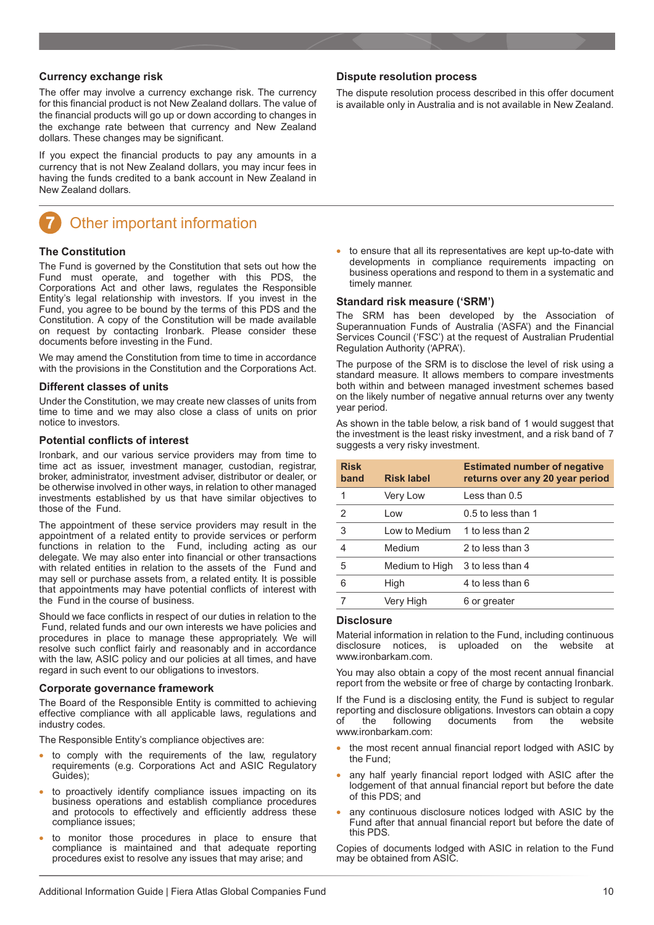#### <span id="page-9-0"></span>**Currency exchange risk**

The offer may involve a currency exchange risk. The currency for this financial product is not New Zealand dollars. The value of the financial products will go up or down according to changes in the exchange rate between that currency and New Zealand dollars. These changes may be significant.

If you expect the financial products to pay any amounts in a currency that is not New Zealand dollars, you may incur fees in having the funds credited to a bank account in New Zealand in New Zealand dollars.

## Other important information

#### **The Constitution**

The Fund is governed by the Constitution that sets out how the Fund must operate, and together with this PDS, the Corporations Act and other laws, regulates the Responsible Entity's legal relationship with investors. If you invest in the Fund, you agree to be bound by the terms of this PDS and the Constitution. A copy of the Constitution will be made available on request by contacting Ironbark. Please consider these documents before investing in the Fund.

We may amend the Constitution from time to time in accordance with the provisions in the Constitution and the Corporations Act.

#### **Different classes of units**

Under the Constitution, we may create new classes of units from time to time and we may also close a class of units on prior notice to investors.

#### **Potential conflicts of interest**

Ironbark, and our various service providers may from time to time act as issuer, investment manager, custodian, registrar, broker, administrator, investment adviser, distributor or dealer, or be otherwise involved in other ways, in relation to other managed investments established by us that have similar objectives to those of the Fund.

The appointment of these service providers may result in the appointment of a related entity to provide services or perform functions in relation to the Fund, including acting as our delegate. We may also enter into financial or other transactions with related entities in relation to the assets of the Fund and may sell or purchase assets from, a related entity. It is possible that appointments may have potential conflicts of interest with the Fund in the course of business.

Should we face conflicts in respect of our duties in relation to the Fund, related funds and our own interests we have policies and procedures in place to manage these appropriately. We will resolve such conflict fairly and reasonably and in accordance with the law, ASIC policy and our policies at all times, and have regard in such event to our obligations to investors.

#### **Corporate governance framework**

The Board of the Responsible Entity is committed to achieving effective compliance with all applicable laws, regulations and industry codes.

The Responsible Entity's compliance objectives are:

- to comply with the requirements of the law, regulatory requirements (e.g. Corporations Act and ASIC Regulatory Guides);
- to proactively identify compliance issues impacting on its business operations and establish compliance procedures and protocols to effectively and efficiently address these compliance issues;
- to monitor those procedures in place to ensure that compliance is maintained and that adequate reporting procedures exist to resolve any issues that may arise; and

#### **Dispute resolution process**

The dispute resolution process described in this offer document is available only in Australia and is not available in New Zealand.

• to ensure that all its representatives are kept up-to-date with developments in compliance requirements impacting on business operations and respond to them in a systematic and timely manner.

#### **Standard risk measure ('SRM')**

The SRM has been developed by the Association of Superannuation Funds of Australia ('ASFA') and the Financial Services Council ('FSC') at the request of Australian Prudential Regulation Authority ('APRA').

The purpose of the SRM is to disclose the level of risk using a standard measure. It allows members to compare investments both within and between managed investment schemes based on the likely number of negative annual returns over any twenty year period.

As shown in the table below, a risk band of 1 would suggest that the investment is the least risky investment, and a risk band of 7 suggests a very risky investment.

| <b>Risk</b><br>band | <b>Risk label</b> | <b>Estimated number of negative</b><br>returns over any 20 year period |
|---------------------|-------------------|------------------------------------------------------------------------|
| 1                   | Very Low          | Less than 0.5                                                          |
| $\mathcal{P}$       | Low               | $0.5$ to less than 1                                                   |
| 3                   | Low to Medium     | 1 to less than 2                                                       |
| 4                   | Medium            | 2 to less than 3                                                       |
| 5                   | Medium to High    | 3 to less than 4                                                       |
| 6                   | High              | 4 to less than 6                                                       |
|                     | Very High         | 6 or greater                                                           |

#### **Disclosure**

Material information in relation to the Fund, including continuous disclosure notices, is uploaded on the website at www.ironbarkam.com.

You may also obtain a copy of the most recent annual financial report from the website or free of charge by contacting Ironbark.

If the Fund is a disclosing entity, the Fund is subject to regular reporting and disclosure obligations. Investors can obtain a copy<br>of the following documents from the website of the following documents from the website www.ironbarkam.com:

- the most recent annual financial report lodged with ASIC by the Fund;
- any half yearly financial report lodged with ASIC after the lodgement of that annual financial report but before the date of this PDS; and
- any continuous disclosure notices lodged with ASIC by the Fund after that annual financial report but before the date of this PDS.

Copies of documents lodged with ASIC in relation to the Fund may be obtained from ASIC.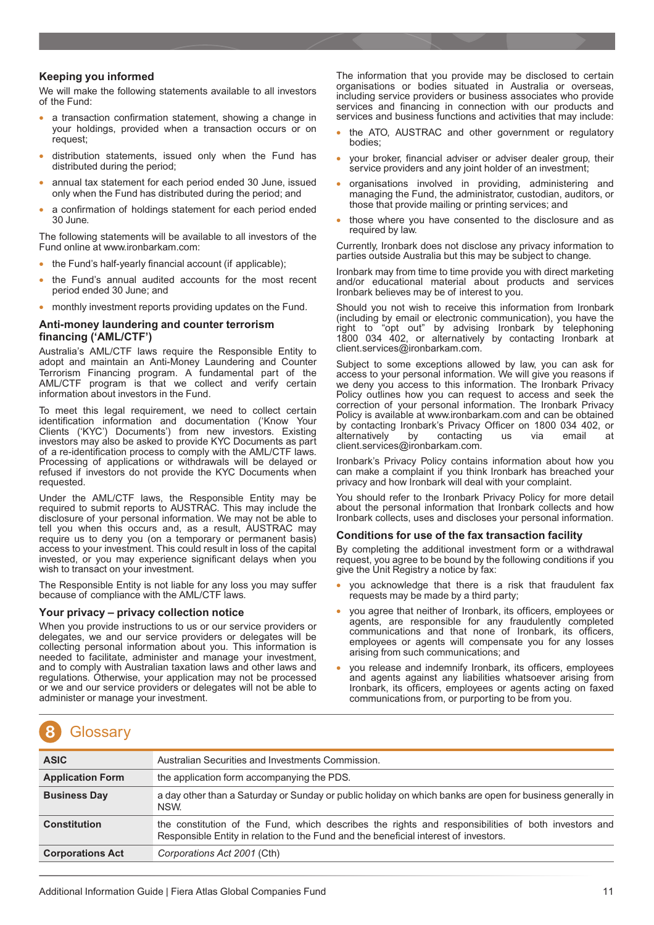#### <span id="page-10-0"></span>**Keeping you informed**

We will make the following statements available to all investors of the Fund:

- a transaction confirmation statement, showing a change in your holdings, provided when a transaction occurs or on request;
- distribution statements, issued only when the Fund has distributed during the period;
- annual tax statement for each period ended 30 June, issued only when the Fund has distributed during the period; and
- a confirmation of holdings statement for each period ended 30 June.

The following statements will be available to all investors of the Fund online at www.ironbarkam.com:

- the Fund's half-yearly financial account (if applicable);
- the Fund's annual audited accounts for the most recent period ended 30 June; and
- monthly investment reports providing updates on the Fund.

#### **Anti-money laundering and counter terrorism financing ('AML/CTF')**

Australia's AML/CTF laws require the Responsible Entity to adopt and maintain an Anti-Money Laundering and Counter Terrorism Financing program. A fundamental part of the AML/CTF program is that we collect and verify certain information about investors in the Fund.

To meet this legal requirement, we need to collect certain identification information and documentation ('Know Your Clients ('KYC') Documents') from new investors. Existing investors may also be asked to provide KYC Documents as part of a re-identification process to comply with the AML/CTF laws. Processing of applications or withdrawals will be delayed or refused if investors do not provide the KYC Documents when requested.

Under the AML/CTF laws, the Responsible Entity may be required to submit reports to AUSTRAC. This may include the disclosure of your personal information. We may not be able to tell you when this occurs and, as a result, AUSTRAC may require us to deny you (on a temporary or permanent basis) access to your investment. This could result in loss of the capital invested, or you may experience significant delays when you wish to transact on your investment.

The Responsible Entity is not liable for any loss you may suffer because of compliance with the AML/CTF laws.

#### **Your privacy – privacy collection notice**

When you provide instructions to us or our service providers or delegates, we and our service providers or delegates will be collecting personal information about you. This information is needed to facilitate, administer and manage your investment, and to comply with Australian taxation laws and other laws and regulations. Otherwise, your application may not be processed or we and our service providers or delegates will not be able to administer or manage your investment.

The information that you provide may be disclosed to certain organisations or bodies situated in Australia or overseas, including service providers or business associates who provide services and financing in connection with our products and services and business functions and activities that may include:

- the ATO, AUSTRAC and other government or regulatory bodies;
- your broker, financial adviser or adviser dealer group, their service providers and any joint holder of an investment;
- organisations involved in providing, administering and managing the Fund, the administrator, custodian, auditors, or those that provide mailing or printing services; and
- those where you have consented to the disclosure and as required by law.

Currently, Ironbark does not disclose any privacy information to parties outside Australia but this may be subject to change.

Ironbark may from time to time provide you with direct marketing and/or educational material about products and services Ironbark believes may be of interest to you.

Should you not wish to receive this information from Ironbark (including by email or electronic communication), you have the right to "opt out" by advising Ironbark by telephoning 1800 034 402, or alternatively by contacting Ironbark at client.services@ironbarkam.com.

Subject to some exceptions allowed by law, you can ask for access to your personal information. We will give you reasons if we deny you access to this information. The Ironbark Privacy Policy outlines how you can request to access and seek the correction of your personal information. The Ironbark Privacy Policy is available at www.ironbarkam.com and can be obtained by contacting Ironbark's Privacy Officer on 1800 034 402, or alternatively by contacting us via email at client.services@ironbarkam.com.

Ironbark's Privacy Policy contains information about how you can make a complaint if you think Ironbark has breached your privacy and how Ironbark will deal with your complaint.

You should refer to the Ironbark Privacy Policy for more detail about the personal information that Ironbark collects and how Ironbark collects, uses and discloses your personal information.

#### **Conditions for use of the fax transaction facility**

By completing the additional investment form or a withdrawal request, you agree to be bound by the following conditions if you give the Unit Registry a notice by fax:

- you acknowledge that there is a risk that fraudulent fax requests may be made by a third party;
- you agree that neither of Ironbark, its officers, employees or agents, are responsible for any fraudulently completed communications and that none of Ironbark, its officers, employees or agents will compensate you for any losses arising from such communications; and
- you release and indemnify Ironbark, its officers, employees and agents against any liabilities whatsoever arising from Ironbark, its officers, employees or agents acting on faxed communications from, or purporting to be from you.

# **Glossary**

| <b>ASIC</b>             | Australian Securities and Investments Commission.                                                                                                                                           |  |
|-------------------------|---------------------------------------------------------------------------------------------------------------------------------------------------------------------------------------------|--|
| <b>Application Form</b> | the application form accompanying the PDS.                                                                                                                                                  |  |
| <b>Business Day</b>     | a day other than a Saturday or Sunday or public holiday on which banks are open for business generally in<br>NSW.                                                                           |  |
| <b>Constitution</b>     | the constitution of the Fund, which describes the rights and responsibilities of both investors and<br>Responsible Entity in relation to the Fund and the beneficial interest of investors. |  |
| <b>Corporations Act</b> | Corporations Act 2001 (Cth)                                                                                                                                                                 |  |